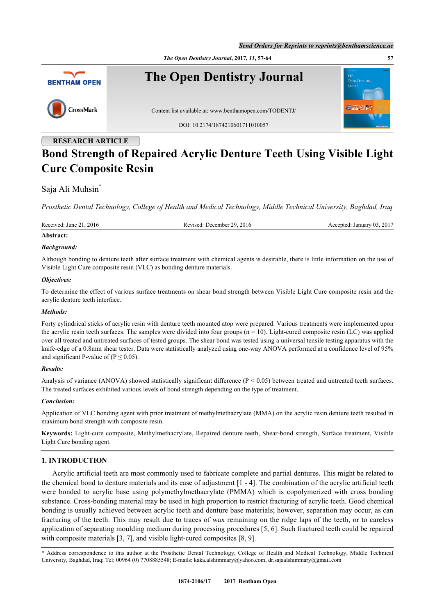*Send Orders for Reprints to reprints@benthamscience.ae*





# **RESEARCH ARTICLE Bond Strength of Repaired Acrylic Denture Teeth Using Visible Light Cure Composite Resin**

# Saja Ali Muhsin<sup>[\\*](#page-0-0)</sup>

*Prosthetic Dental Technology, College of Health and Medical Technology, Middle Technical University, Baghdad, Iraq*

Received: June 21, 2016 Revised: December 29, 2016 Accepted: January 03, 2017

# **Abstract:**

# *Background:*

Although bonding to denture teeth after surface treatment with chemical agents is desirable, there is little information on the use of Visible Light Cure composite resin (VLC) as bonding denture materials.

# *Objectives:*

To determine the effect of various surface treatments on shear bond strength between Visible Light Cure composite resin and the acrylic denture teeth interface.

### *Methods:*

Forty cylindrical sticks of acrylic resin with denture teeth mounted atop were prepared. Various treatments were implemented upon the acrylic resin teeth surfaces. The samples were divided into four groups  $(n = 10)$ . Light-cured composite resin (LC) was applied over all treated and untreated surfaces of tested groups. The shear bond was tested using a universal tensile testing apparatus with the knife-edge of a 0.8mm shear tester. Data were statistically analyzed using one-way ANOVA performed at a confidence level of 95% and significant P-value of ( $P \le 0.05$ ).

#### *Results:*

Analysis of variance (ANOVA) showed statistically significant difference  $(P < 0.05)$  between treated and untreated teeth surfaces. The treated surfaces exhibited various levels of bond strength depending on the type of treatment.

# *Conclusion:*

Application of VLC bonding agent with prior treatment of methylmethacrylate (MMA) on the acrylic resin denture teeth resulted in maximum bond strength with composite resin.

**Keywords:** Light-cure composite, Methylmethacrylate, Repaired denture teeth, Shear-bond strength, Surface treatment, Visible Light Cure bonding agent.

# **1. INTRODUCTION**

Acrylic artificial teeth are most commonly used to fabricate complete and partial dentures. This might be related to the chemical bond to denture materials and its ease of adjustment  $[1 - 4]$  $[1 - 4]$  $[1 - 4]$  $[1 - 4]$ . The combination of the acrylic artificial teeth were bonded to acrylic base using polymethylmethacrylate (PMMA) which is copolymerized with cross bonding substance. Cross-bonding material may be used in high proportion to restrict fracturing of acrylic teeth. Good chemical bonding is usually achieved between acrylic teeth and denture base materials; however, separation may occur, as can fracturing of the teeth. This may result due to traces of wax remaining on the ridge laps of the teeth, or to careless application of separating moulding medium during processing procedures [[5,](#page-6-1) [6\]](#page-6-2). Such fractured teeth could be repaired with composite materials [\[3](#page-6-3), [7](#page-6-4)], and visible light-cured composites [[8,](#page-6-5) [9\]](#page-6-6).

<span id="page-0-0"></span><sup>\*</sup> Address correspondence to this author at the Prosthetic Dental Technology, College of Health and Medical Technology, Middle Technical University, Baghdad, Iraq; Tel: 00964 (0) 7708885548; E-mails: [kaka.alshimmary@yahoo.com](mailto:kaka.alshimmary@yahoo.com), [dr.sajaalshimmary@gmail.com](mailto:dr.sajaalshimmary@gmail.com)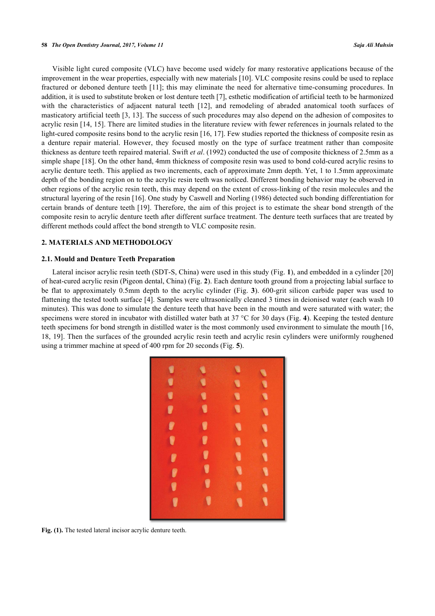#### **58** *The Open Dentistry Journal, 2017, Volume 11 Saja Ali Muhsin*

Visible light cured composite (VLC) have become used widely for many restorative applications because of the improvement in the wear properties, especially with new materials [\[10](#page-6-7)]. VLC composite resins could be used to replace fractured or deboned denture teeth [[11](#page-6-8)]; this may eliminate the need for alternative time-consuming procedures. In addition, it is used to substitute broken or lost denture teeth [[7\]](#page-6-4), esthetic modification of artificial teeth to be harmonized withthe characteristics of adjacent natural teeth [[12](#page-6-9)], and remodeling of abraded anatomical tooth surfaces of masticatory artificial teeth [[3,](#page-6-3) [13](#page-6-10)]. The success of such procedures may also depend on the adhesion of composites to acrylic resin [\[14](#page-6-11), [15\]](#page-6-12). There are limited studies in the literature review with fewer references in journals related to the light-cured composite resins bond to the acrylic resin [\[16](#page-6-13), [17\]](#page-6-14). Few studies reported the thickness of composite resin as a denture repair material. However, they focused mostly on the type of surface treatment rather than composite thickness as denture teeth repaired material. Swift *et al*. (1992) conducted the use of composite thickness of 2.5mm as a simple shape [[18\]](#page-6-15). On the other hand, 4mm thickness of composite resin was used to bond cold-cured acrylic resins to acrylic denture teeth. This applied as two increments, each of approximate 2mm depth. Yet, 1 to 1.5mm approximate depth of the bonding region on to the acrylic resin teeth was noticed. Different bonding behavior may be observed in other regions of the acrylic resin teeth, this may depend on the extent of cross-linking of the resin molecules and the structural layering of the resin [\[16](#page-6-13)]. One study by Caswell and Norling (1986) detected such bonding differentiation for certain brands of denture teeth [\[19\]](#page-6-16). Therefore, the aim of this project is to estimate the shear bond strength of the composite resin to acrylic denture teeth after different surface treatment. The denture teeth surfaces that are treated by different methods could affect the bond strength to VLC composite resin.

#### **2. MATERIALS AND METHODOLOGY**

# **2.1. Mould and Denture Teeth Preparation**

<span id="page-1-0"></span>Lateral incisor acrylic resin teeth (SDT-S, China) were used in this study (Fig. **[1](#page-1-0)**), and embedded in a cylinder [\[20](#page-6-17)] of heat-cured acrylic resin (Pigeon dental, China) (Fig. **[2](#page-1-1)**). Each denture tooth ground from a projecting labial surface to be flat to approximately 0.5mm depth to the acrylic cylinder (Fig.**3**). 600-grit silicon carbide paper was used to flattening the tested tooth surface [[4](#page-6-0)]. Samples were ultrasonically cleaned 3 times in deionised water (each wash 10 minutes). This was done to simulate the denture teeth that have been in the mouth and were saturated with water; the specimens were stored in incubator with distilled water bath at 37 °C for 30 days (Fig. **[4](#page-2-1)**). Keeping the tested denture teeth specimens for bond strength in distilled water is the most commonly used environment to simulate the mouth [[16](#page-6-13), [18,](#page-6-15) [19\]](#page-6-16). Then the surfaces of the grounded acrylic resin teeth and acrylic resin cylinders were uniformly roughened using a trimmer machine at speed of 400 rpm for 20 seconds (Fig. **[5](#page-2-2)**).



<span id="page-1-1"></span>**Fig. (1).** The tested lateral incisor acrylic denture teeth.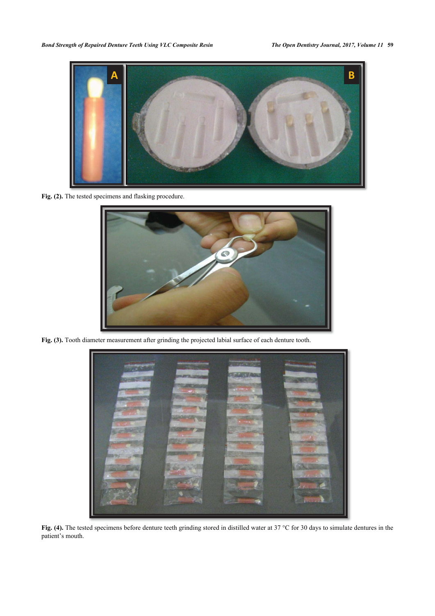

Fig. (2). The tested specimens and flasking procedure.

<span id="page-2-0"></span>

Fig. (3). Tooth diameter measurement after grinding the projected labial surface of each denture tooth.

<span id="page-2-2"></span><span id="page-2-1"></span>

**Fig. (4).** The tested specimens before denture teeth grinding stored in distilled water at 37 °C for 30 days to simulate dentures in the patient's mouth.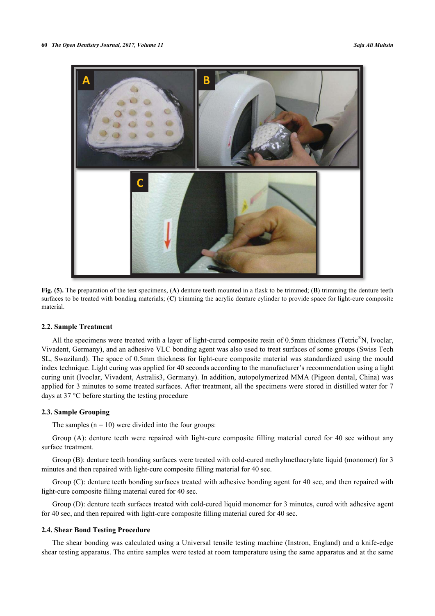

**Fig. (5).** The preparation of the test specimens, (A) denture teeth mounted in a flask to be trimmed; (B) trimming the denture teeth surfaces to be treated with bonding materials; (**C**) trimming the acrylic denture cylinder to provide space for light-cure composite material.

#### **2.2. Sample Treatment**

All the specimens were treated with a layer of light-cured composite resin of 0.5mm thickness (Tetric<sup>®</sup>N, Ivoclar, Vivadent, Germany), and an adhesive VLC bonding agent was also used to treat surfaces of some groups (Swiss Tech SL, Swaziland). The space of 0.5mm thickness for light-cure composite material was standardized using the mould index technique. Light curing was applied for 40 seconds according to the manufacturer's recommendation using a light curing unit (Ivoclar, Vivadent, Astralis3, Germany). In addition, autopolymerized MMA (Pigeon dental, China) was applied for 3 minutes to some treated surfaces. After treatment, all the specimens were stored in distilled water for 7 days at 37 °C before starting the testing procedure

#### **2.3. Sample Grouping**

The samples  $(n = 10)$  were divided into the four groups:

Group (A): denture teeth were repaired with light-cure composite filling material cured for 40 sec without any surface treatment.

Group (B): denture teeth bonding surfaces were treated with cold-cured methylmethacrylate liquid (monomer) for 3 minutes and then repaired with light-cure composite filling material for 40 sec.

Group (C): denture teeth bonding surfaces treated with adhesive bonding agent for 40 sec, and then repaired with light-cure composite filling material cured for 40 sec.

Group (D): denture teeth surfaces treated with cold-cured liquid monomer for 3 minutes, cured with adhesive agent for 40 sec, and then repaired with light-cure composite filling material cured for 40 sec.

#### **2.4. Shear Bond Testing Procedure**

The shear bonding was calculated using a Universal tensile testing machine (Instron, England) and a knife-edge shear testing apparatus. The entire samples were tested at room temperature using the same apparatus and at the same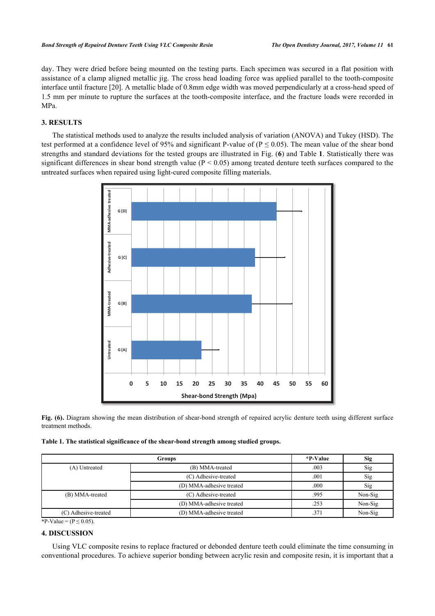day. They were dried before being mounted on the testing parts. Each specimen was secured in a flat position with assistance of a clamp aligned metallic jig. The cross head loading force was applied parallel to the tooth-composite interface until fracture [[20\]](#page-6-17). A metallic blade of 0.8mm edge width was moved perpendicularly at a cross-head speed of 1.5 mm per minute to rupture the surfaces at the tooth-composite interface, and the fracture loads were recorded in MPa.

# **3. RESULTS**

<span id="page-4-0"></span>The statistical methods used to analyze the results included analysis of variation (ANOVA) and Tukey (HSD). The test performed at a confidence level of 95% and significant P-value of ( $P \le 0.05$ ). The mean value of the shear bond strengths and standard deviations for the tested groups are illustrated in Fig. (**[6](#page-4-0)**) and Table **[1](#page-4-1)**. Statistically there was significant differences in shear bond strength value ( $P < 0.05$ ) among treated denture teeth surfaces compared to the untreated surfaces when repaired using light-cured composite filling materials.



**Fig. (6).** Diagram showing the mean distribution of shear-bond strength of repaired acrylic denture teeth using different surface treatment methods.

<span id="page-4-1"></span>

|  |  | Table 1. The statistical significance of the shear-bond strength among studied groups. |  |
|--|--|----------------------------------------------------------------------------------------|--|
|  |  |                                                                                        |  |

|                      | *P-Value                 | Sig  |         |
|----------------------|--------------------------|------|---------|
| (A) Untreated        | (B) MMA-treated          | .003 | Sig     |
|                      | (C) Adhesive-treated     | .001 | Sig     |
|                      | (D) MMA-adhesive treated | .000 | Sig     |
| (B) MMA-treated      | (C) Adhesive-treated     |      | Non-Sig |
|                      | (D) MMA-adhesive treated | .253 | Non-Sig |
| (C) Adhesive-treated | (D) MMA-adhesive treated | .371 | Non-Sig |

 $*P-Value = (P \le 0.05)$ .

#### **4. DISCUSSION**

Using VLC composite resins to replace fractured or debonded denture teeth could eliminate the time consuming in conventional procedures. To achieve superior bonding between acrylic resin and composite resin, it is important that a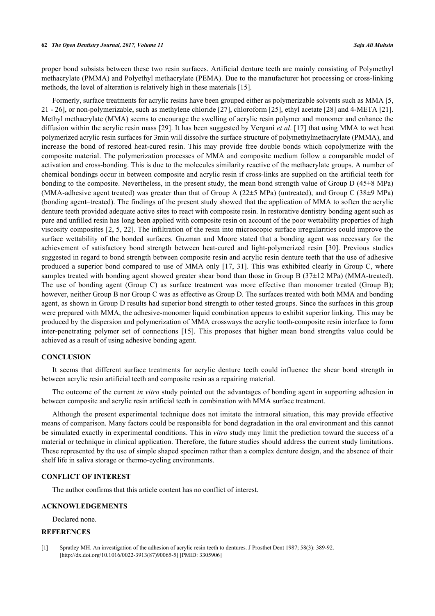proper bond subsists between these two resin surfaces. Artificial denture teeth are mainly consisting of Polymethyl methacrylate (PMMA) and Polyethyl methacrylate (PEMA). Due to the manufacturer hot processing or cross-linking methods, the level of alteration is relatively high in these materials [[15\]](#page-6-12).

Formerly, surface treatments for acrylic resins have been grouped either as polymerizable solvents such as MMA [[5](#page-6-1), [21](#page-6-18) - [26](#page-7-0)], or non-polymerizable, such as methylene chloride [[27\]](#page-7-1), chloroform [\[25\]](#page-7-2), ethyl acetate [[28\]](#page-7-3) and 4-META [[21\]](#page-6-18). Methyl methacrylate (MMA) seems to encourage the swelling of acrylic resin polymer and monomer and enhance the diffusion within the acrylic resin mass [[29\]](#page-7-4). It has been suggested by Vergani *et al*. [[17](#page-6-14)] that using MMA to wet heat polymerized acrylic resin surfaces for 3min will dissolve the surface structure of polymethylmethacrylate (PMMA), and increase the bond of restored heat-cured resin. This may provide free double bonds which copolymerize with the composite material. The polymerization processes of MMA and composite medium follow a comparable model of activation and cross-bonding. This is due to the molecules similarity reactive of the methacrylate groups. A number of chemical bondings occur in between composite and acrylic resin if cross-links are supplied on the artificial teeth for bonding to the composite. Nevertheless, in the present study, the mean bond strength value of Group D (45±8 MPa) (MMA-adhesive agent treated) was greater than that of Group A (22±5 MPa) (untreated), and Group C (38±9 MPa) (bonding agent–treated). The findings of the present study showed that the application of MMA to soften the acrylic denture teeth provided adequate active sites to react with composite resin. In restorative dentistry bonding agent such as pure and unfilled resin has long been applied with composite resin on account of the poor wettability properties of high viscosity composites [\[2](#page-6-19), [5](#page-6-1), [22\]](#page-6-20). The infiltration of the resin into microscopic surface irregularities could improve the surface wettability of the bonded surfaces. Guzman and Moore stated that a bonding agent was necessary for the achievement of satisfactory bond strength between heat-cured and light-polymerized resin[[30\]](#page-7-5). Previous studies suggested in regard to bond strength between composite resin and acrylic resin denture teeth that the use of adhesive produced a superior bond compared to use of MMA only [[17,](#page-6-14) [31](#page-7-6)]. This was exhibited clearly in Group C, where samples treated with bonding agent showed greater shear bond than those in Group B (37±12 MPa) (MMA-treated). The use of bonding agent (Group C) as surface treatment was more effective than monomer treated (Group B); however, neither Group B nor Group C was as effective as Group D. The surfaces treated with both MMA and bonding agent, as shown in Group D results had superior bond strength to other tested groups. Since the surfaces in this group were prepared with MMA, the adhesive-monomer liquid combination appears to exhibit superior linking. This may be produced by the dispersion and polymerization of MMA crossways the acrylic tooth-composite resin interface to form inter-penetrating polymer set of connections[[15\]](#page-6-12). This proposes that higher mean bond strengths value could be achieved as a result of using adhesive bonding agent.

#### **CONCLUSION**

It seems that different surface treatments for acrylic denture teeth could influence the shear bond strength in between acrylic resin artificial teeth and composite resin as a repairing material.

The outcome of the current *in vitro* study pointed out the advantages of bonding agent in supporting adhesion in between composite and acrylic resin artificial teeth in combination with MMA surface treatment.

Although the present experimental technique does not imitate the intraoral situation, this may provide effective means of comparison. Many factors could be responsible for bond degradation in the oral environment and this cannot be simulated exactly in experimental conditions. This in *vitro* study may limit the prediction toward the success of a material or technique in clinical application. Therefore, the future studies should address the current study limitations. These represented by the use of simple shaped specimen rather than a complex denture design, and the absence of their shelf life in saliva storage or thermo-cycling environments.

# **CONFLICT OF INTEREST**

The author confirms that this article content has no conflict of interest.

# **ACKNOWLEDGEMENTS**

Declared none.

# **REFERENCES**

<span id="page-5-0"></span>[1] Spratley MH. An investigation of the adhesion of acrylic resin teeth to dentures. J Prosthet Dent 1987; 58(3): 389-92. [\[http://dx.doi.org/10.1016/0022-3913\(87\)90065-5](http://dx.doi.org/10.1016/0022-3913(87)90065-5)] [PMID: [3305906](http://www.ncbi.nlm.nih.gov/pubmed/3305906)]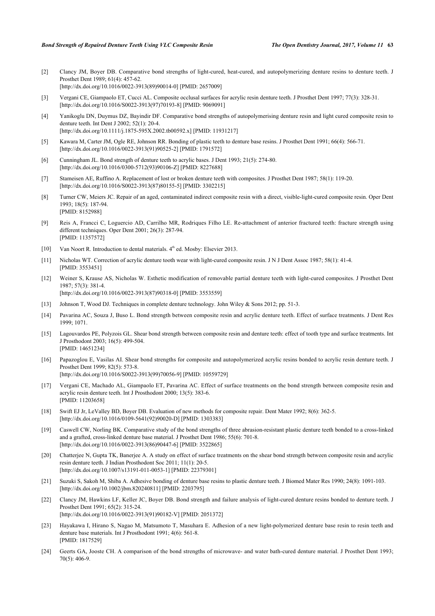- <span id="page-6-19"></span>[2] Clancy JM, Boyer DB. Comparative bond strengths of light-cured, heat-cured, and autopolymerizing denture resins to denture teeth. J Prosthet Dent 1989; 61(4): 457-62. [\[http://dx.doi.org/10.1016/0022-3913\(89\)90014-0](http://dx.doi.org/10.1016/0022-3913(89)90014-0)] [PMID: [2657009](http://www.ncbi.nlm.nih.gov/pubmed/2657009)]
- <span id="page-6-3"></span>[3] Vergani CE, Giampaolo ET, Cucci AL. Composite occlusal surfaces for acrylic resin denture teeth. J Prosthet Dent 1997; 77(3): 328-31. [\[http://dx.doi.org/10.1016/S0022-3913\(97\)70193-8\]](http://dx.doi.org/10.1016/S0022-3913(97)70193-8) [PMID: [9069091](http://www.ncbi.nlm.nih.gov/pubmed/9069091)]
- <span id="page-6-0"></span>[4] Yanikoglu DN, Duymus DZ, Bayindir DF. Comparative bond strengths of autopolymerising denture resin and light cured composite resin to denture teeth. Int Dent J 2002; 52(1): 20-4. [\[http://dx.doi.org/10.1111/j.1875-595X.2002.tb00592.x\]](http://dx.doi.org/10.1111/j.1875-595X.2002.tb00592.x) [PMID: [11931217](http://www.ncbi.nlm.nih.gov/pubmed/11931217)]
- <span id="page-6-1"></span>[5] Kawara M, Carter JM, Ogle RE, Johnson RR. Bonding of plastic teeth to denture base resins. J Prosthet Dent 1991; 66(4): 566-71. [\[http://dx.doi.org/10.1016/0022-3913\(91\)90525-2](http://dx.doi.org/10.1016/0022-3913(91)90525-2)] [PMID: [1791572](http://www.ncbi.nlm.nih.gov/pubmed/1791572)]
- <span id="page-6-2"></span>[6] Cunningham JL. Bond strength of denture teeth to acrylic bases. J Dent 1993; 21(5): 274-80. [\[http://dx.doi.org/10.1016/0300-5712\(93\)90106-Z](http://dx.doi.org/10.1016/0300-5712(93)90106-Z)] [PMID: [8227688\]](http://www.ncbi.nlm.nih.gov/pubmed/8227688)
- <span id="page-6-4"></span>[7] Stameisen AE, Ruffino A. Replacement of lost or broken denture teeth with composites. J Prosthet Dent 1987; 58(1): 119-20. [\[http://dx.doi.org/10.1016/S0022-3913\(87\)80155-5\]](http://dx.doi.org/10.1016/S0022-3913(87)80155-5) [PMID: [3302215](http://www.ncbi.nlm.nih.gov/pubmed/3302215)]
- <span id="page-6-5"></span>[8] Turner CW, Meiers JC. Repair of an aged, contaminated indirect composite resin with a direct, visible-light-cured composite resin. Oper Dent 1993; 18(5): 187-94. [PMID: [8152988\]](http://www.ncbi.nlm.nih.gov/pubmed/8152988)
- <span id="page-6-6"></span>[9] Reis A, Francci C, Loguercio AD, Carrilho MR, Rodriques Filho LE. Re-attachment of anterior fractured teeth: fracture strength using different techniques. Oper Dent 2001; 26(3): 287-94. [PMID: [11357572\]](http://www.ncbi.nlm.nih.gov/pubmed/11357572)
- <span id="page-6-7"></span>[10] Van Noort R. Introduction to dental materials.  $4^{\text{th}}$  ed. Mosby: Elsevier 2013.
- <span id="page-6-8"></span>[11] Nicholas WT. Correction of acrylic denture tooth wear with light-cured composite resin. J N J Dent Assoc 1987; 58(1): 41-4. [PMID: [3553451\]](http://www.ncbi.nlm.nih.gov/pubmed/3553451)
- <span id="page-6-9"></span>[12] Weiner S, Krause AS, Nicholas W. Esthetic modification of removable partial denture teeth with light-cured composites. J Prosthet Dent 1987; 57(3): 381-4. [\[http://dx.doi.org/10.1016/0022-3913\(87\)90318-0](http://dx.doi.org/10.1016/0022-3913(87)90318-0)] [PMID: [3553559](http://www.ncbi.nlm.nih.gov/pubmed/3553559)]
- <span id="page-6-10"></span>[13] Johnson T, Wood DJ. Techniques in complete denture technology. John Wiley & Sons 2012; pp. 51-3.
- <span id="page-6-11"></span>[14] Pavarina AC, Souza J, Buso L. Bond strength between composite resin and acrylic denture teeth. Effect of surface treatments. J Dent Res 1999; 1071.
- <span id="page-6-12"></span>[15] Lagouvardos PE, Polyzois GL. Shear bond strength between composite resin and denture teeth: effect of tooth type and surface treatments. Int J Prosthodont 2003; 16(5): 499-504. [PMID: [14651234\]](http://www.ncbi.nlm.nih.gov/pubmed/14651234)
- <span id="page-6-13"></span>[16] Papazoglou E, Vasilas AI. Shear bond strengths for composite and autopolymerized acrylic resins bonded to acrylic resin denture teeth. J Prosthet Dent 1999; 82(5): 573-8. [\[http://dx.doi.org/10.1016/S0022-3913\(99\)70056-9\]](http://dx.doi.org/10.1016/S0022-3913(99)70056-9) [PMID: [10559729](http://www.ncbi.nlm.nih.gov/pubmed/10559729)]
- <span id="page-6-14"></span>[17] Vergani CE, Machado AL, Giampaolo ET, Pavarina AC. Effect of surface treatments on the bond strength between composite resin and acrylic resin denture teeth. Int J Prosthodont 2000; 13(5): 383-6. [PMID: [11203658\]](http://www.ncbi.nlm.nih.gov/pubmed/11203658)
- <span id="page-6-15"></span>[18] Swift EJ Jr, LeValley BD, Boyer DB. Evaluation of new methods for composite repair. Dent Mater 1992; 8(6): 362-5. [\[http://dx.doi.org/10.1016/0109-5641\(92\)90020-D](http://dx.doi.org/10.1016/0109-5641(92)90020-D)] [PMID: [1303383\]](http://www.ncbi.nlm.nih.gov/pubmed/1303383)
- <span id="page-6-16"></span>[19] Caswell CW, Norling BK. Comparative study of the bond strengths of three abrasion-resistant plastic denture teeth bonded to a cross-linked and a grafted, cross-linked denture base material. J Prosthet Dent 1986; 55(6): 701-8. [\[http://dx.doi.org/10.1016/0022-3913\(86\)90447-6](http://dx.doi.org/10.1016/0022-3913(86)90447-6)] [PMID: [3522865](http://www.ncbi.nlm.nih.gov/pubmed/3522865)]
- <span id="page-6-17"></span>[20] Chatterjee N, Gupta TK, Banerjee A. A study on effect of surface treatments on the shear bond strength between composite resin and acrylic resin denture teeth. J Indian Prosthodont Soc 2011; 11(1): 20-5. [\[http://dx.doi.org/10.1007/s13191-011-0053-1\]](http://dx.doi.org/10.1007/s13191-011-0053-1) [PMID: [22379301](http://www.ncbi.nlm.nih.gov/pubmed/22379301)]
- <span id="page-6-18"></span>[21] Suzuki S, Sakoh M, Shiba A. Adhesive bonding of denture base resins to plastic denture teeth. J Biomed Mater Res 1990; 24(8): 1091-103. [\[http://dx.doi.org/10.1002/jbm.820240811](http://dx.doi.org/10.1002/jbm.820240811)] [PMID: [2203795\]](http://www.ncbi.nlm.nih.gov/pubmed/2203795)
- <span id="page-6-20"></span>[22] Clancy JM, Hawkins LF, Keller JC, Boyer DB. Bond strength and failure analysis of light-cured denture resins bonded to denture teeth. J Prosthet Dent 1991; 65(2): 315-24. [\[http://dx.doi.org/10.1016/0022-3913\(91\)90182-V](http://dx.doi.org/10.1016/0022-3913(91)90182-V)] [PMID: [2051372\]](http://www.ncbi.nlm.nih.gov/pubmed/2051372)
- [23] Hayakawa I, Hirano S, Nagao M, Matsumoto T, Masuhara E. Adhesion of a new light-polymerized denture base resin to resin teeth and denture base materials. Int J Prosthodont 1991; 4(6): 561-8. [PMID: [1817529\]](http://www.ncbi.nlm.nih.gov/pubmed/1817529)
- [24] Geerts GA, Jooste CH. A comparison of the bond strengths of microwave- and water bath-cured denture material. J Prosthet Dent 1993; 70(5): 406-9.